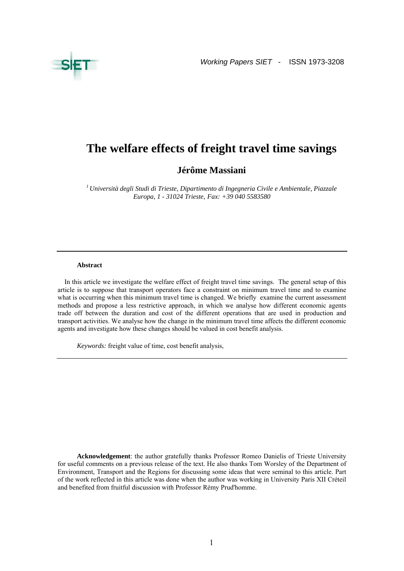

# **The welfare effects of freight travel time savings**

**Jérôme Massiani** 

*1 Università degli Studi di Trieste, Dipartimento di Ingegneria Civile e Ambientale, Piazzale Europa, 1 - 31024 Trieste, Fax: +39 040 5583580* 

#### **Abstract**

In this article we investigate the welfare effect of freight travel time savings. The general setup of this article is to suppose that transport operators face a constraint on minimum travel time and to examine what is occurring when this minimum travel time is changed. We briefly examine the current assessment methods and propose a less restrictive approach, in which we analyse how different economic agents trade off between the duration and cost of the different operations that are used in production and transport activities. We analyse how the change in the minimum travel time affects the different economic agents and investigate how these changes should be valued in cost benefit analysis.

*Keywords:* freight value of time, cost benefit analysis,

**Acknowledgement**: the author gratefully thanks Professor Romeo Danielis of Trieste University for useful comments on a previous release of the text. He also thanks Tom Worsley of the Department of Environment, Transport and the Regions for discussing some ideas that were seminal to this article. Part of the work reflected in this article was done when the author was working in University Paris XII Créteil and benefited from fruitful discussion with Professor Rémy Prud'homme.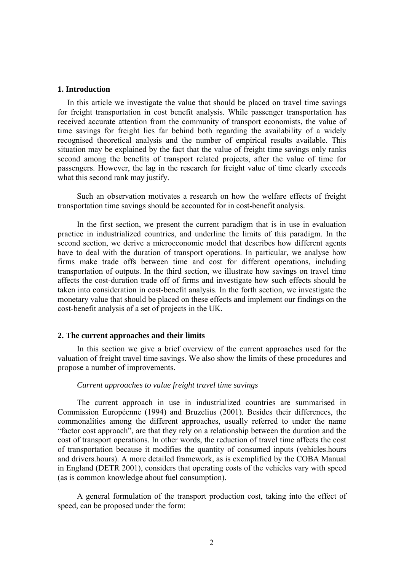## **1. Introduction**

In this article we investigate the value that should be placed on travel time savings for freight transportation in cost benefit analysis. While passenger transportation has received accurate attention from the community of transport economists, the value of time savings for freight lies far behind both regarding the availability of a widely recognised theoretical analysis and the number of empirical results available. This situation may be explained by the fact that the value of freight time savings only ranks second among the benefits of transport related projects, after the value of time for passengers. However, the lag in the research for freight value of time clearly exceeds what this second rank may justify.

Such an observation motivates a research on how the welfare effects of freight transportation time savings should be accounted for in cost-benefit analysis.

In the first section, we present the current paradigm that is in use in evaluation practice in industrialized countries, and underline the limits of this paradigm. In the second section, we derive a microeconomic model that describes how different agents have to deal with the duration of transport operations. In particular, we analyse how firms make trade offs between time and cost for different operations, including transportation of outputs. In the third section, we illustrate how savings on travel time affects the cost-duration trade off of firms and investigate how such effects should be taken into consideration in cost-benefit analysis. In the forth section, we investigate the monetary value that should be placed on these effects and implement our findings on the cost-benefit analysis of a set of projects in the UK.

# **2. The current approaches and their limits**

In this section we give a brief overview of the current approaches used for the valuation of freight travel time savings. We also show the limits of these procedures and propose a number of improvements.

# *Current approaches to value freight travel time savings*

The current approach in use in industrialized countries are summarised in Commission Européenne (1994) and Bruzelius (2001). Besides their differences, the commonalities among the different approaches, usually referred to under the name "factor cost approach", are that they rely on a relationship between the duration and the cost of transport operations. In other words, the reduction of travel time affects the cost of transportation because it modifies the quantity of consumed inputs (vehicles.hours and drivers.hours). A more detailed framework, as is exemplified by the COBA Manual in England (DETR 2001), considers that operating costs of the vehicles vary with speed (as is common knowledge about fuel consumption).

A general formulation of the transport production cost, taking into the effect of speed, can be proposed under the form: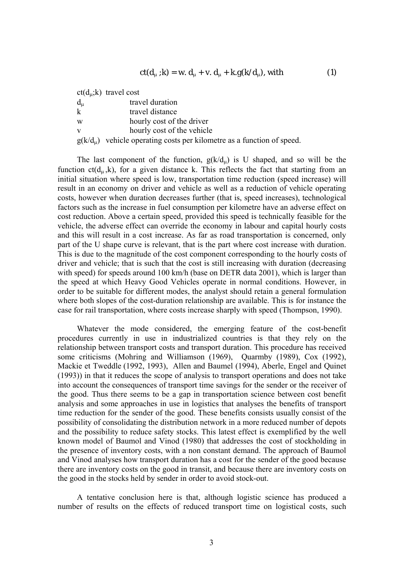$$
ct(d_{\mu}; k) = w. d_{\mu} + v. d_{\mu} + k. g(k/d_{\mu}), with
$$
 (1)

 $ct(d<sub>u</sub>; k)$  travel cost dμ travel duration k travel distance w hourly cost of the driver v hourly cost of the vehicle  $g(k/d<sub>u</sub>)$  vehicle operating costs per kilometre as a function of speed.

The last component of the function,  $g(k/d<sub>u</sub>)$  is U shaped, and so will be the function  $ct(d<sub>u</sub>,k)$ , for a given distance k. This reflects the fact that starting from an initial situation where speed is low, transportation time reduction (speed increase) will result in an economy on driver and vehicle as well as a reduction of vehicle operating costs, however when duration decreases further (that is, speed increases), technological factors such as the increase in fuel consumption per kilometre have an adverse effect on cost reduction. Above a certain speed, provided this speed is technically feasible for the vehicle, the adverse effect can override the economy in labour and capital hourly costs and this will result in a cost increase. As far as road transportation is concerned, only part of the U shape curve is relevant, that is the part where cost increase with duration. This is due to the magnitude of the cost component corresponding to the hourly costs of driver and vehicle; that is such that the cost is still increasing with duration (decreasing with speed) for speeds around 100 km/h (base on DETR data 2001), which is larger than the speed at which Heavy Good Vehicles operate in normal conditions. However, in order to be suitable for different modes, the analyst should retain a general formulation where both slopes of the cost-duration relationship are available. This is for instance the case for rail transportation, where costs increase sharply with speed (Thompson, 1990).

Whatever the mode considered, the emerging feature of the cost-benefit procedures currently in use in industrialized countries is that they rely on the relationship between transport costs and transport duration. This procedure has received some criticisms (Mohring and Williamson (1969), Quarmby (1989), Cox (1992), Mackie et Tweddle (1992, 1993), Allen and Baumel (1994), Aberle, Engel and Quinet (1993)) in that it reduces the scope of analysis to transport operations and does not take into account the consequences of transport time savings for the sender or the receiver of the good. Thus there seems to be a gap in transportation science between cost benefit analysis and some approaches in use in logistics that analyses the benefits of transport time reduction for the sender of the good. These benefits consists usually consist of the possibility of consolidating the distribution network in a more reduced number of depots and the possibility to reduce safety stocks. This latest effect is exemplified by the well known model of Baumol and Vinod (1980) that addresses the cost of stockholding in the presence of inventory costs, with a non constant demand. The approach of Baumol and Vinod analyses how transport duration has a cost for the sender of the good because there are inventory costs on the good in transit, and because there are inventory costs on the good in the stocks held by sender in order to avoid stock-out.

A tentative conclusion here is that, although logistic science has produced a number of results on the effects of reduced transport time on logistical costs, such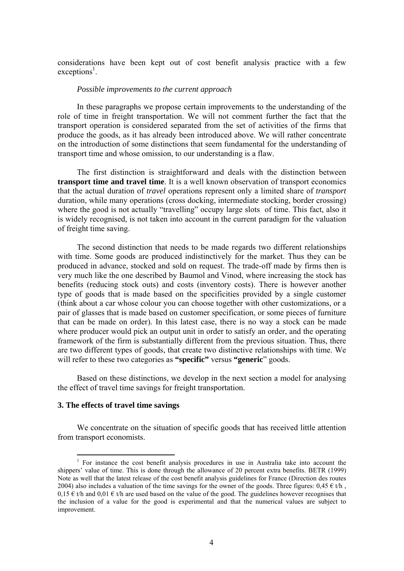considerations have been kept out of cost benefit analysis practice with a few exceptions<sup>1</sup>.

## *Possible improvements to the current approach*

In these paragraphs we propose certain improvements to the understanding of the role of time in freight transportation. We will not comment further the fact that the transport operation is considered separated from the set of activities of the firms that produce the goods, as it has already been introduced above. We will rather concentrate on the introduction of some distinctions that seem fundamental for the understanding of transport time and whose omission, to our understanding is a flaw.

The first distinction is straightforward and deals with the distinction between **transport time and travel time**. It is a well known observation of transport economics that the actual duration of *travel* operations represent only a limited share of *transport* duration, while many operations (cross docking, intermediate stocking, border crossing) where the good is not actually "travelling" occupy large slots of time. This fact, also it is widely recognised, is not taken into account in the current paradigm for the valuation of freight time saving.

The second distinction that needs to be made regards two different relationships with time. Some goods are produced indistinctively for the market. Thus they can be produced in advance, stocked and sold on request. The trade-off made by firms then is very much like the one described by Baumol and Vinod, where increasing the stock has benefits (reducing stock outs) and costs (inventory costs). There is however another type of goods that is made based on the specificities provided by a single customer (think about a car whose colour you can choose together with other customizations, or a pair of glasses that is made based on customer specification, or some pieces of furniture that can be made on order). In this latest case, there is no way a stock can be made where producer would pick an output unit in order to satisfy an order, and the operating framework of the firm is substantially different from the previous situation. Thus, there are two different types of goods, that create two distinctive relationships with time. We will refer to these two categories as **"specific"** versus **"generic**" goods.

Based on these distinctions, we develop in the next section a model for analysing the effect of travel time savings for freight transportation.

# **3. The effects of travel time savings**

 $\overline{a}$ 

We concentrate on the situation of specific goods that has received little attention from transport economists.

 $1$  For instance the cost benefit analysis procedures in use in Australia take into account the shippers' value of time. This is done through the allowance of 20 percent extra benefits. BETR (1999) Note as well that the latest release of the cost benefit analysis guidelines for France (Direction des routes 2004) also includes a valuation of the time savings for the owner of the goods. Three figures:  $0.45 \in t/h$ ,  $0.15 \text{ } \in \text{th}$  and  $0.01 \in \text{th}$  are used based on the value of the good. The guidelines however recognises that the inclusion of a value for the good is experimental and that the numerical values are subject to improvement.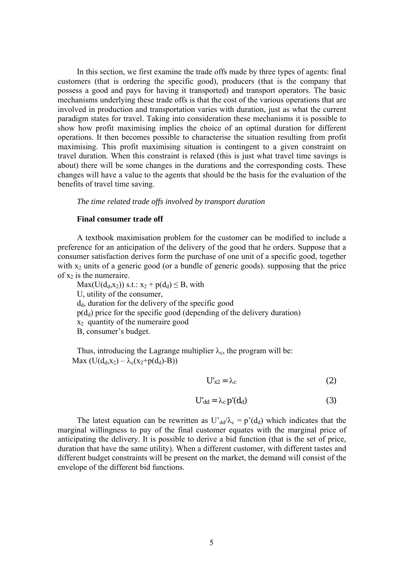In this section, we first examine the trade offs made by three types of agents: final customers (that is ordering the specific good), producers (that is the company that possess a good and pays for having it transported) and transport operators. The basic mechanisms underlying these trade offs is that the cost of the various operations that are involved in production and transportation varies with duration, just as what the current paradigm states for travel. Taking into consideration these mechanisms it is possible to show how profit maximising implies the choice of an optimal duration for different operations. It then becomes possible to characterise the situation resulting from profit maximising. This profit maximising situation is contingent to a given constraint on travel duration. When this constraint is relaxed (this is just what travel time savings is about) there will be some changes in the durations and the corresponding costs. These changes will have a value to the agents that should be the basis for the evaluation of the benefits of travel time saving.

# *The time related trade offs involved by transport duration*

## **Final consumer trade off**

A textbook maximisation problem for the customer can be modified to include a preference for an anticipation of the delivery of the good that he orders. Suppose that a consumer satisfaction derives form the purchase of one unit of a specific good, together with  $x_2$  units of a generic good (or a bundle of generic goods). supposing that the price of  $x_2$  is the numeraire.

 $Max(U(d_d,x_2))$  s.t.:  $x_2 + p(d_d) \leq B$ , with U, utility of the consumer,  $d_d$ , duration for the delivery of the specific good  $p(d_d)$  price for the specific good (depending of the delivery duration)  $x_2$  quantity of the numeraire good B, consumer's budget.

Thus, introducing the Lagrange multiplier  $\lambda_c$ , the program will be: Max  $(U(d_d,x_2) - \lambda_c(x_2+p(d_d)-B))$ 

$$
U'_{x2} = \lambda_c \tag{2}
$$

$$
U'_{dd} = \lambda_c p'(d_d)
$$
 (3)

The latest equation can be rewritten as  $U_{dd}/\lambda_c = p'(d_d)$  which indicates that the marginal willingness to pay of the final customer equates with the marginal price of anticipating the delivery. It is possible to derive a bid function (that is the set of price, duration that have the same utility). When a different customer, with different tastes and different budget constraints will be present on the market, the demand will consist of the envelope of the different bid functions.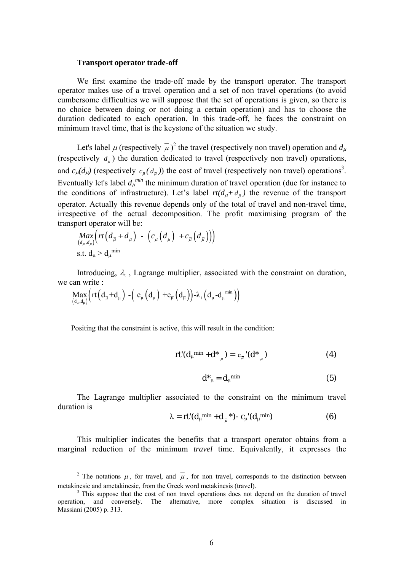## **Transport operator trade-off**

We first examine the trade-off made by the transport operator. The transport operator makes use of a travel operation and a set of non travel operations (to avoid cumbersome difficulties we will suppose that the set of operations is given, so there is no choice between doing or not doing a certain operation) and has to choose the duration dedicated to each operation. In this trade-off, he faces the constraint on minimum travel time, that is the keystone of the situation we study.

Let's label  $\mu$  (respectively  $\bar{\mu}$ )<sup>2</sup> the travel (respectively non travel) operation and  $d_{\mu}$ (respectively  $d_{\overline{n}}$ ) the duration dedicated to travel (respectively non travel) operations, and  $c_{\mu}(d_{\mu})$  (respectively  $c_{\bar{\mu}}(d_{\bar{\mu}})$ ) the cost of travel (respectively non travel) operations<sup>3</sup>. Eventually let's label  $d_{\mu}^{min}$  the minimum duration of travel operation (due for instance to the conditions of infrastructure). Let's label  $rt(d_{\mu} + d_{\overline{n}})$  the revenue of the transport operator. Actually this revenue depends only of the total of travel and non-travel time, irrespective of the actual decomposition. The profit maximising program of the transport operator will be:  $\sim$ 

$$
\underset{(d_{\overline{\mu}},d_{\mu})}{Max} \left( rt\left(d_{\overline{\mu}} + d_{\mu}\right) - \left(c_{\mu}\left(d_{\mu}\right) + c_{\overline{\mu}}\left(d_{\overline{\mu}}\right)\right) \right)
$$
  
s.t.  $d_{\mu} > d_{\mu}$ <sup>min</sup>

Introducing,  $\lambda_t$ , Lagrange multiplier, associated with the constraint on duration, we can write :

$$
\underset{\left(d_{\overline{\mu}},d_{\mu}\right)}{\text{Max}}\left(rt\left(d_{\overline{\mu}}+d_{\mu}\right)\text{ -}\left(\text{ c}_{\mu}\left(d_{\mu}\right)\text{ +}\text{c}_{\overline{\mu}}\left(d_{\overline{\mu}}\right)\right)\text{ -}\lambda_{t}\left(d_{\mu}\text{ -}d_{\mu}^{\ \text{ min}}\right)\right)
$$

 $\overline{a}$ 

Positing that the constraint is active, this will result in the condition:

$$
rt'(d_{\mu}^{min} + d^*_{\overline{\mu}}) = c_{\overline{\mu}}(d^*_{\overline{\mu}})
$$
 (4)

$$
\mathbf{d}^*_{\mu} = \mathbf{d}_{\mu}^{\text{min}} \tag{5}
$$

The Lagrange multiplier associated to the constraint on the minimum travel duration is

$$
\lambda = rt'(d_{\mu}^{min} + d_{\mu}^{*}) - c_{\mu}'(d_{\mu}^{min})
$$
(6)

This multiplier indicates the benefits that a transport operator obtains from a marginal reduction of the minimum *travel* time. Equivalently, it expresses the

<sup>&</sup>lt;sup>2</sup> The notations  $\mu$ , for travel, and  $\overline{\mu}$ , for non travel, corresponds to the distinction between metakinesic and ametakinesic, from the Greek word metakinesis (travel). 3

<sup>&</sup>lt;sup>3</sup> This suppose that the cost of non travel operations does not depend on the duration of travel operation, and conversely. The alternative, more complex situation is discussed in Massiani (2005) p. 313.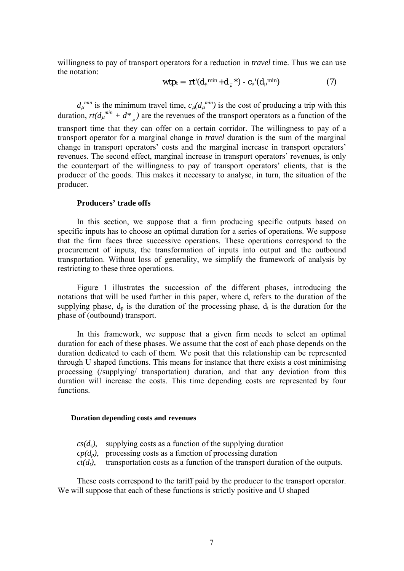willingness to pay of transport operators for a reduction in *travel* time. Thus we can use the notation:

$$
\text{wtp}_{t} = \text{rt}'(d_{\mu}^{\min} + d_{\mu}^{\mu}) - c_{\mu}'(d_{\mu}^{\min}) \tag{7}
$$

 $d_{\mu}^{min}$  is the minimum travel time,  $c_{\mu} (d_{\mu}^{min})$  is the cost of producing a trip with this duration,  $rt(d_{\mu}^{min} + d^*_{\mu})$  are the revenues of the transport operators as a function of the transport time that they can offer on a certain corridor. The willingness to pay of a transport operator for a marginal change in *travel* duration is the sum of the marginal change in transport operators' costs and the marginal increase in transport operators' revenues. The second effect, marginal increase in transport operators' revenues, is only the counterpart of the willingness to pay of transport operators' clients, that is the producer of the goods. This makes it necessary to analyse, in turn, the situation of the producer.

# **Producers' trade offs**

In this section, we suppose that a firm producing specific outputs based on specific inputs has to choose an optimal duration for a series of operations. We suppose that the firm faces three successive operations. These operations correspond to the procurement of inputs, the transformation of inputs into output and the outbound transportation. Without loss of generality, we simplify the framework of analysis by restricting to these three operations.

Figure 1 illustrates the succession of the different phases, introducing the notations that will be used further in this paper, where  $d_s$  refers to the duration of the supplying phase,  $d_p$  is the duration of the processing phase,  $d_t$  is the duration for the phase of (outbound) transport.

In this framework, we suppose that a given firm needs to select an optimal duration for each of these phases. We assume that the cost of each phase depends on the duration dedicated to each of them. We posit that this relationship can be represented through U shaped functions. This means for instance that there exists a cost minimising processing (/supplying/ transportation) duration, and that any deviation from this duration will increase the costs. This time depending costs are represented by four functions.

## **Duration depending costs and revenues**

- $cs(d<sub>s</sub>)$ , supplying costs as a function of the supplying duration
- $cp(d_p)$ , processing costs as a function of processing duration
- $ct(d_t)$ , transportation costs as a function of the transport duration of the outputs.

These costs correspond to the tariff paid by the producer to the transport operator. We will suppose that each of these functions is strictly positive and U shaped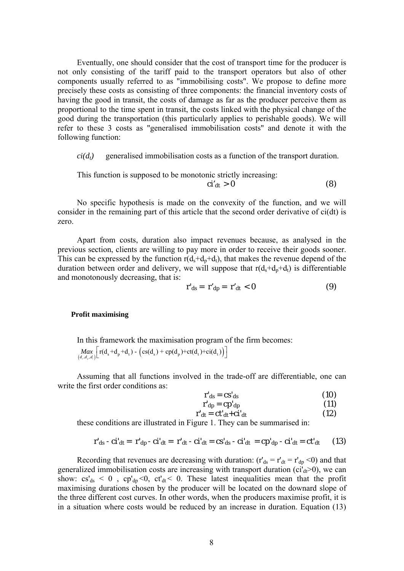Eventually, one should consider that the cost of transport time for the producer is not only consisting of the tariff paid to the transport operators but also of other components usually referred to as "immobilising costs". We propose to define more precisely these costs as consisting of three components: the financial inventory costs of having the good in transit, the costs of damage as far as the producer perceive them as proportional to the time spent in transit, the costs linked with the physical change of the good during the transportation (this particularly applies to perishable goods). We will refer to these 3 costs as "generalised immobilisation costs" and denote it with the following function:

 $ci(d_t)$  generalised immobilisation costs as a function of the transport duration.

This function is supposed to be monotonic strictly increasing:

$$
ci'dt > 0
$$
 (8)

No specific hypothesis is made on the convexity of the function, and we will consider in the remaining part of this article that the second order derivative of ci(dt) is zero.

Apart from costs, duration also impact revenues because, as analysed in the previous section, clients are willing to pay more in order to receive their goods sooner. This can be expressed by the function  $r(d_s+d_p+d_t)$ , that makes the revenue depend of the duration between order and delivery, we will suppose that  $r(d_s+d_p+d_t)$  is differentiable and monotonously decreasing, that is:

$$
\mathbf{r}'_{\mathbf{ds}} = \mathbf{r}'_{\mathbf{dp}} = \mathbf{r}'_{\mathbf{dt}} < \mathbf{0} \tag{9}
$$

#### **Profit maximising**

In this framework the maximisation program of the firm becomes:  $\left( \frac{Max}{(d_s, d_s, d_s)} \right[ \left[ \frac{r(d_s + d_p + d_t)}{r(d_s)} - \left( \frac{cs(d_s)}{r + c(p(d_p)} + \frac{c_1(d_t)}{r + d_s)} \right) \right]$ 

Assuming that all functions involved in the trade-off are differentiable, one can write the first order conditions as:

$$
\mathbf{r}'_{\mathbf{ds}} = \mathbf{c}\mathbf{s}'_{\mathbf{ds}} \tag{10}
$$

$$
\mathbf{r'}_{\mathbf{dp}} = \mathbf{c} \mathbf{p'}_{\mathbf{dp}} \tag{11}
$$

$$
\mathbf{r'}_{dt} = \mathbf{c} \mathbf{t'}_{dt} + \mathbf{c} \mathbf{i'}_{dt} \tag{12}
$$

these conditions are illustrated in Figure 1. They can be summarised in:

$$
\mathbf{r'}_{\mathrm{ds}} - \mathbf{c}\mathbf{i'}_{\mathrm{dt}} = \mathbf{r'}_{\mathrm{dp}} - \mathbf{c}\mathbf{i'}_{\mathrm{dt}} = \mathbf{r'}_{\mathrm{dt}} - \mathbf{c}\mathbf{i'}_{\mathrm{dt}} = \mathbf{c}\mathbf{s'}_{\mathrm{ds}} - \mathbf{c}\mathbf{i'}_{\mathrm{dt}} = \mathbf{c}\mathbf{p'}_{\mathrm{dp}} - \mathbf{c}\mathbf{i'}_{\mathrm{dt}} = \mathbf{c}\mathbf{t'}_{\mathrm{dt}} \qquad (13)
$$

Recording that revenues are decreasing with duration:  $(r'_{ds} = r'_{dt} = r'_{dp} < 0)$  and that generalized immobilisation costs are increasing with transport duration ( $ci'_{dt}$  $> 0$ ), we can show:  $cs'_{ds} < 0$ ,  $cp'_{dp} < 0$ ,  $ct'_{dt} < 0$ . These latest inequalities mean that the profit maximising durations chosen by the producer will be located on the downard slope of the three different cost curves. In other words, when the producers maximise profit, it is in a situation where costs would be reduced by an increase in duration. Equation (13)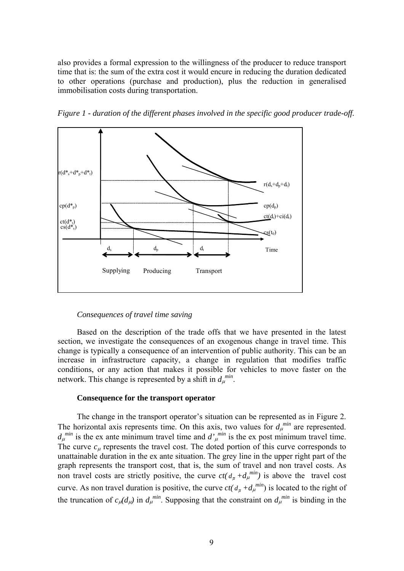also provides a formal expression to the willingness of the producer to reduce transport time that is: the sum of the extra cost it would encure in reducing the duration dedicated to other operations (purchase and production), plus the reduction in generalised immobilisation costs during transportation.



*Figure 1 - duration of the different phases involved in the specific good producer trade-off.* 

# *Consequences of travel time saving*

Based on the description of the trade offs that we have presented in the latest section, we investigate the consequences of an exogenous change in travel time. This change is typically a consequence of an intervention of public authority. This can be an increase in infrastructure capacity, a change in regulation that modifies traffic conditions, or any action that makes it possible for vehicles to move faster on the network. This change is represented by a shift in  $d_\mu^{min}$ .

# **Consequence for the transport operator**

The change in the transport operator's situation can be represented as in Figure 2. The horizontal axis represents time. On this axis, two values for  $d<sub>μ</sub><sup>min</sup>$  are represented.  $d_{\mu}^{min}$  is the ex ante minimum travel time and  $d'_{\mu}^{min}$  is the ex post minimum travel time. The curve *c*μ represents the travel cost. The doted portion of this curve corresponds to unattainable duration in the ex ante situation. The grey line in the upper right part of the graph represents the transport cost, that is, the sum of travel and non travel costs. As non travel costs are strictly positive, the curve  $ct(d_{\overline{\mu}} + d_{\mu}^{min})$  is above the travel cost curve. As non travel duration is positive, the curve  $ct(d_{\overline{\mu}} + d_{\mu}^{min})$  is located to the right of the truncation of  $c_{\mu}(d_{\mu})$  in  $d_{\mu}^{min}$ . Supposing that the constraint on  $d_{\mu}^{min}$  is binding in the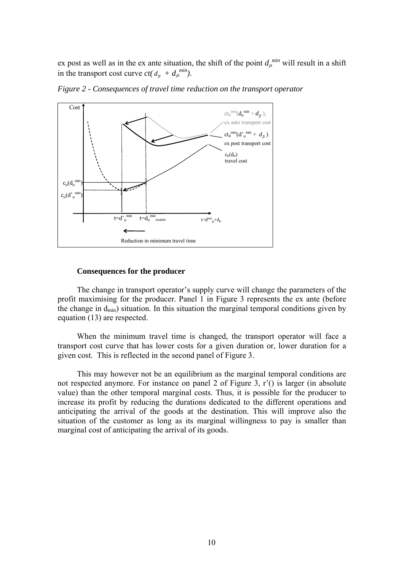ex post as well as in the ex ante situation, the shift of the point  $d_\mu^{min}$  will result in a shift in the transport cost curve  $ct(d_{\overline{\mu}} + d_{\mu}^{min})$ .



*Figure 2 - Consequences of travel time reduction on the transport operator* 

# **Consequences for the producer**

The change in transport operator's supply curve will change the parameters of the profit maximising for the producer. Panel 1 in Figure 3 represents the ex ante (before the change in  $d_{min}$ ) situation. In this situation the marginal temporal conditions given by equation (13) are respected.

When the minimum travel time is changed, the transport operator will face a transport cost curve that has lower costs for a given duration or, lower duration for a given cost. This is reflected in the second panel of Figure 3.

This may however not be an equilibrium as the marginal temporal conditions are not respected anymore. For instance on panel 2 of Figure 3, r'() is larger (in absolute value) than the other temporal marginal costs. Thus, it is possible for the producer to increase its profit by reducing the durations dedicated to the different operations and anticipating the arrival of the goods at the destination. This will improve also the situation of the customer as long as its marginal willingness to pay is smaller than marginal cost of anticipating the arrival of its goods.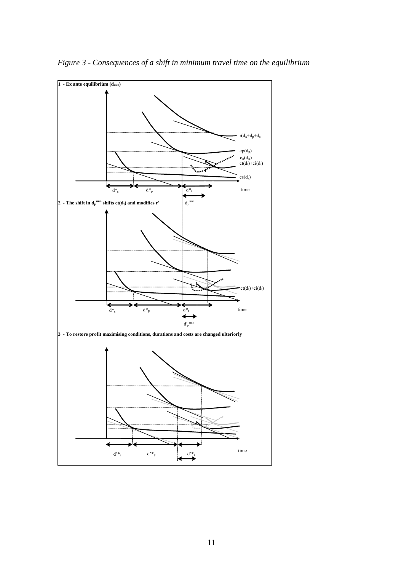

*Figure 3 - Consequences of a shift in minimum travel time on the equilibrium*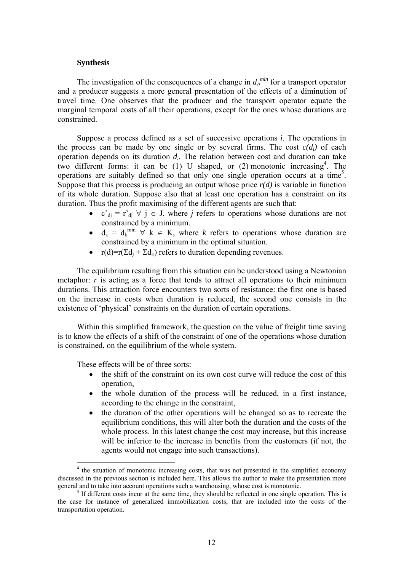# **Synthesis**

The investigation of the consequences of a change in  $d<sub>\mu</sub>^{min}$  for a transport operator and a producer suggests a more general presentation of the effects of a diminution of travel time. One observes that the producer and the transport operator equate the marginal temporal costs of all their operations, except for the ones whose durations are constrained.

Suppose a process defined as a set of successive operations *i*. The operations in the process can be made by one single or by several firms. The cost  $c(d_i)$  of each operation depends on its duration *di*. The relation between cost and duration can take two different forms: it can be (1) U shaped, or (2) monotonic increasing4 . The operations are suitably defined so that only one single operation occurs at a time<sup>5</sup>. Suppose that this process is producing an output whose price  $r(d)$  is variable in function of its whole duration. Suppose also that at least one operation has a constraint on its duration. Thus the profit maximising of the different agents are such that:

- c'<sub>dj</sub> = r'<sub>dj</sub>  $\forall$  j  $\in$  J. where *j* refers to operations whose durations are not constrained by a minimum.
- $d_k = d_k^{\min} \forall k \in K$ , where *k* refers to operations whose duration are constrained by a minimum in the optimal situation.
- $r(d)=r(\sum d_i + \sum d_k)$  refers to duration depending revenues.

The equilibrium resulting from this situation can be understood using a Newtonian metaphor:  $r$  is acting as a force that tends to attract all operations to their minimum durations. This attraction force encounters two sorts of resistance: the first one is based on the increase in costs when duration is reduced, the second one consists in the existence of 'physical' constraints on the duration of certain operations.

Within this simplified framework, the question on the value of freight time saving is to know the effects of a shift of the constraint of one of the operations whose duration is constrained, on the equilibrium of the whole system.

These effects will be of three sorts:

 $\overline{a}$ 

- the shift of the constraint on its own cost curve will reduce the cost of this operation,
- the whole duration of the process will be reduced, in a first instance, according to the change in the constraint,
- the duration of the other operations will be changed so as to recreate the equilibrium conditions, this will alter both the duration and the costs of the whole process. In this latest change the cost may increase, but this increase will be inferior to the increase in benefits from the customers (if not, the agents would not engage into such transactions).

<sup>&</sup>lt;sup>4</sup> the situation of monotonic increasing costs, that was not presented in the simplified economy discussed in the previous section is included here. This allows the author to make the presentation more general and to take into account operations such a warehousing, whose cost is monotonic.

 $<sup>5</sup>$  If different costs incur at the same time, they should be reflected in one single operation. This is</sup> the case for instance of generalized immobilization costs, that are included into the costs of the transportation operation.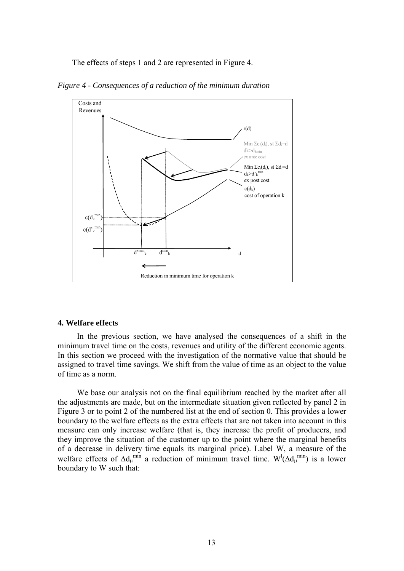The effects of steps 1 and 2 are represented in Figure 4.



*Figure 4 - Consequences of a reduction of the minimum duration* 

# **4. Welfare effects**

In the previous section, we have analysed the consequences of a shift in the minimum travel time on the costs, revenues and utility of the different economic agents. In this section we proceed with the investigation of the normative value that should be assigned to travel time savings. We shift from the value of time as an object to the value of time as a norm.

We base our analysis not on the final equilibrium reached by the market after all the adjustments are made, but on the intermediate situation given reflected by panel 2 in Figure 3 or to point 2 of the numbered list at the end of section 0. This provides a lower boundary to the welfare effects as the extra effects that are not taken into account in this measure can only increase welfare (that is, they increase the profit of producers, and they improve the situation of the customer up to the point where the marginal benefits of a decrease in delivery time equals its marginal price). Label W, a measure of the welfare effects of  $\Delta d_{\mu}^{min}$  a reduction of minimum travel time.  $W^{l}(\Delta d_{\mu}^{min})$  is a lower boundary to W such that: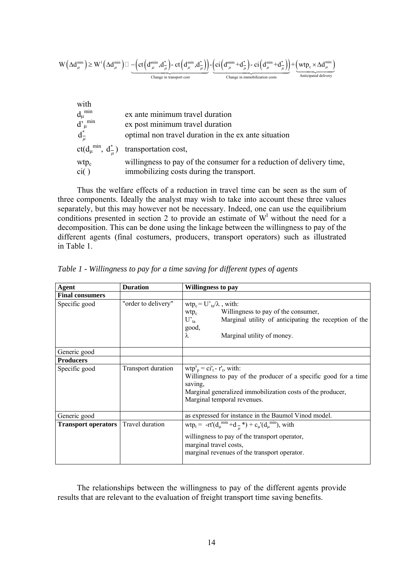$$
W\left(\Delta d_\mu^{\min}\right)\geq W^1\left(\Delta d_\mu^{\min}\right)\square\underbrace{-\left(ct\left(d_\mu^{\min},d_\mu^*\right)\text{-}ct\left(d_\mu^{\min},d_\mu^*\right)\right)}_{\text{Change in transport cost}}\underbrace{-\left(ct\left(d_\mu^{\min}+d_\mu^*\right)\text{-}ci\left(d_\mu^{\min}+d_\mu^*\right)\right)}_{\text{Change in important conditions costs}}+\underbrace{\left(wtp_c\times\Delta d_\mu^{\min}\right)}_{\text{Anticipated delivery}}
$$

| with                                                                                                             | ex ante minimum travel duration                                      |
|------------------------------------------------------------------------------------------------------------------|----------------------------------------------------------------------|
| mın                                                                                                              | ex post minimum travel duration                                      |
| $\begin{array}{l} d_\mu^{\text{ min}} \\ d^{\prime}_{\mu}^{\text{ min}} \\ d^{\pm}_{\overline{\mu}} \end{array}$ | optimal non travel duration in the ex ante situation                 |
| $ct(d_{\mu}^{min}, d_{\mu}^{*})$                                                                                 | transportation cost,                                                 |
| wtp <sub>c</sub>                                                                                                 | willingness to pay of the consumer for a reduction of delivery time, |
| ci()                                                                                                             | immobilizing costs during the transport.                             |

Thus the welfare effects of a reduction in travel time can be seen as the sum of three components. Ideally the analyst may wish to take into account these three values separately, but this may however not be necessary. Indeed, one can use the equilibrium conditions presented in section 2 to provide an estimate of  $W<sup>1</sup>$  without the need for a decomposition. This can be done using the linkage between the willingness to pay of the different agents (final costumers, producers, transport operators) such as illustrated in Table 1.

| Agent                      | <b>Duration</b>     | Willingness to pay                                                                                                                                                                                                                                                                    |  |  |  |
|----------------------------|---------------------|---------------------------------------------------------------------------------------------------------------------------------------------------------------------------------------------------------------------------------------------------------------------------------------|--|--|--|
| <b>Final consumers</b>     |                     |                                                                                                                                                                                                                                                                                       |  |  |  |
| Specific good              | "order to delivery" | $wtp_c = U'_{ta}/\lambda$ , with:<br>Willingness to pay of the consumer,<br>$wtp_c$<br>Marginal utility of anticipating the reception of the<br>$U'_{ta}$<br>good,<br>Marginal utility of money.<br>λ                                                                                 |  |  |  |
| Generic good               |                     |                                                                                                                                                                                                                                                                                       |  |  |  |
| <b>Producers</b>           |                     |                                                                                                                                                                                                                                                                                       |  |  |  |
| Specific good              | Transport duration  | $\text{wtp}^s_p = \text{ci}'_t - r'_t$ , with:<br>Willingness to pay of the producer of a specific good for a time<br>saving,<br>Marginal generalized immobilization costs of the producer,<br>Marginal temporal revenues.                                                            |  |  |  |
| Generic good               |                     | as expressed for instance in the Baumol Vinod model.                                                                                                                                                                                                                                  |  |  |  |
| <b>Transport operators</b> | Travel duration     | wtp <sub>t</sub> = -rt'(d <sub>µ</sub> <sup>min</sup> +d <sub><math>\frac{1}{\mu}</math></sub> *) + c <sub>µ</sub> '(d <sub>µ</sub> <sup>min</sup> ), with<br>willingness to pay of the transport operator,<br>marginal travel costs,<br>marginal revenues of the transport operator. |  |  |  |

*Table 1 - Willingness to pay for a time saving for different types of agents* 

The relationships between the willingness to pay of the different agents provide results that are relevant to the evaluation of freight transport time saving benefits.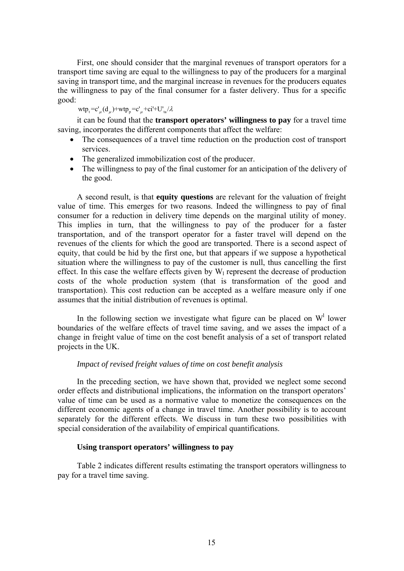First, one should consider that the marginal revenues of transport operators for a transport time saving are equal to the willingness to pay of the producers for a marginal saving in transport time, and the marginal increase in revenues for the producers equates the willingness to pay of the final consumer for a faster delivery. Thus for a specific good:

 $wtp_t = c'_u(d_u) + wtp_p = c'_u + ci' + U'_u / \lambda$ 

it can be found that the **transport operators' willingness to pay** for a travel time saving, incorporates the different components that affect the welfare:

- The consequences of a travel time reduction on the production cost of transport services.
- The generalized immobilization cost of the producer.
- The willingness to pay of the final customer for an anticipation of the delivery of the good.

A second result, is that **equity questions** are relevant for the valuation of freight value of time. This emerges for two reasons. Indeed the willingness to pay of final consumer for a reduction in delivery time depends on the marginal utility of money. This implies in turn, that the willingness to pay of the producer for a faster transportation, and of the transport operator for a faster travel will depend on the revenues of the clients for which the good are transported. There is a second aspect of equity, that could be hid by the first one, but that appears if we suppose a hypothetical situation where the willingness to pay of the customer is null, thus cancelling the first effect. In this case the welfare effects given by  $W_1$  represent the decrease of production costs of the whole production system (that is transformation of the good and transportation). This cost reduction can be accepted as a welfare measure only if one assumes that the initial distribution of revenues is optimal.

In the following section we investigate what figure can be placed on  $W<sup>1</sup>$  lower boundaries of the welfare effects of travel time saving, and we asses the impact of a change in freight value of time on the cost benefit analysis of a set of transport related projects in the UK.

# *Impact of revised freight values of time on cost benefit analysis*

In the preceding section, we have shown that, provided we neglect some second order effects and distributional implications, the information on the transport operators' value of time can be used as a normative value to monetize the consequences on the different economic agents of a change in travel time. Another possibility is to account separately for the different effects. We discuss in turn these two possibilities with special consideration of the availability of empirical quantifications.

# **Using transport operators' willingness to pay**

Table 2 indicates different results estimating the transport operators willingness to pay for a travel time saving.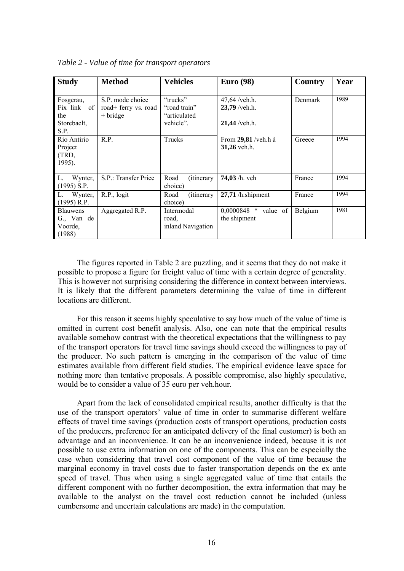| <b>Study</b>                                           | <b>Method</b>                                          | <b>Vehicles</b>                                       | <b>Euro</b> (98)                                      | Country | Year |
|--------------------------------------------------------|--------------------------------------------------------|-------------------------------------------------------|-------------------------------------------------------|---------|------|
| Fosgerau,<br>Fix link of<br>the<br>Storebaelt.<br>S.P. | S.P. mode choice<br>road+ ferry vs. road<br>$+$ bridge | "trucks"<br>"road train"<br>"articulated<br>vehicle". | $47,64$ /veh.h.<br>$23,79$ /veh.h.<br>$21,44$ /veh.h. | Denmark | 1989 |
| Rio Antirio<br>Project<br>(TRD,<br>1995).              | R.P.                                                   | Trucks                                                | From $29,81$ /veh.h à<br>31,26 veh.h.                 | Greece  | 1994 |
| L.<br>Wynter,<br>$(1995)$ S.P.                         | S.P.: Transfer Price                                   | Road<br><i>(itinerary)</i><br>choice)                 | 74,03 /h. veh                                         | France  | 1994 |
| L. Wynter,<br>$(1995)$ R.P.                            | R.P., logit                                            | Road<br><i>(itinerary)</i><br>choice)                 | $27,71$ /h.shipment                                   | France  | 1994 |
| <b>Blauwens</b><br>G., Van de<br>Voorde,<br>(1988)     | Aggregated R.P.                                        | Intermodal<br>road.<br>inland Navigation              | $0,0000848$ * value of<br>the shipment                | Belgium | 1981 |

*Table 2 - Value of time for transport operators* 

The figures reported in Table 2 are puzzling, and it seems that they do not make it possible to propose a figure for freight value of time with a certain degree of generality. This is however not surprising considering the difference in context between interviews. It is likely that the different parameters determining the value of time in different locations are different.

For this reason it seems highly speculative to say how much of the value of time is omitted in current cost benefit analysis. Also, one can note that the empirical results available somehow contrast with the theoretical expectations that the willingness to pay of the transport operators for travel time savings should exceed the willingness to pay of the producer. No such pattern is emerging in the comparison of the value of time estimates available from different field studies. The empirical evidence leave space for nothing more than tentative proposals. A possible compromise, also highly speculative, would be to consider a value of 35 euro per veh.hour.

Apart from the lack of consolidated empirical results, another difficulty is that the use of the transport operators' value of time in order to summarise different welfare effects of travel time savings (production costs of transport operations, production costs of the producers, preference for an anticipated delivery of the final customer) is both an advantage and an inconvenience. It can be an inconvenience indeed, because it is not possible to use extra information on one of the components. This can be especially the case when considering that travel cost component of the value of time because the marginal economy in travel costs due to faster transportation depends on the ex ante speed of travel. Thus when using a single aggregated value of time that entails the different component with no further decomposition, the extra information that may be available to the analyst on the travel cost reduction cannot be included (unless cumbersome and uncertain calculations are made) in the computation.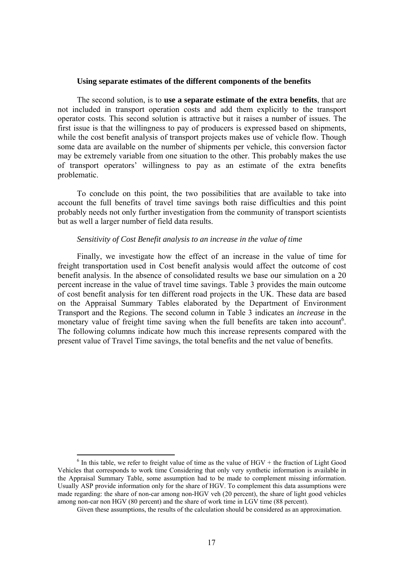## **Using separate estimates of the different components of the benefits**

The second solution, is to **use a separate estimate of the extra benefits**, that are not included in transport operation costs and add them explicitly to the transport operator costs. This second solution is attractive but it raises a number of issues. The first issue is that the willingness to pay of producers is expressed based on shipments, while the cost benefit analysis of transport projects makes use of vehicle flow. Though some data are available on the number of shipments per vehicle, this conversion factor may be extremely variable from one situation to the other. This probably makes the use of transport operators' willingness to pay as an estimate of the extra benefits problematic.

To conclude on this point, the two possibilities that are available to take into account the full benefits of travel time savings both raise difficulties and this point probably needs not only further investigation from the community of transport scientists but as well a larger number of field data results.

## *Sensitivity of Cost Benefit analysis to an increase in the value of time*

Finally, we investigate how the effect of an increase in the value of time for freight transportation used in Cost benefit analysis would affect the outcome of cost benefit analysis. In the absence of consolidated results we base our simulation on a 20 percent increase in the value of travel time savings. Table 3 provides the main outcome of cost benefit analysis for ten different road projects in the UK. These data are based on the Appraisal Summary Tables elaborated by the Department of Environment Transport and the Regions. The second column in Table 3 indicates an *increase* in the monetary value of freight time saving when the full benefits are taken into account<sup>6</sup>. The following columns indicate how much this increase represents compared with the present value of Travel Time savings, the total benefits and the net value of benefits.

 $\overline{a}$ 

 $6$  In this table, we refer to freight value of time as the value of HGV + the fraction of Light Good Vehicles that corresponds to work time Considering that only very synthetic information is available in the Appraisal Summary Table, some assumption had to be made to complement missing information. Usually ASP provide information only for the share of HGV. To complement this data assumptions were made regarding: the share of non-car among non-HGV veh (20 percent), the share of light good vehicles among non-car non HGV (80 percent) and the share of work time in LGV time (88 percent).

Given these assumptions, the results of the calculation should be considered as an approximation.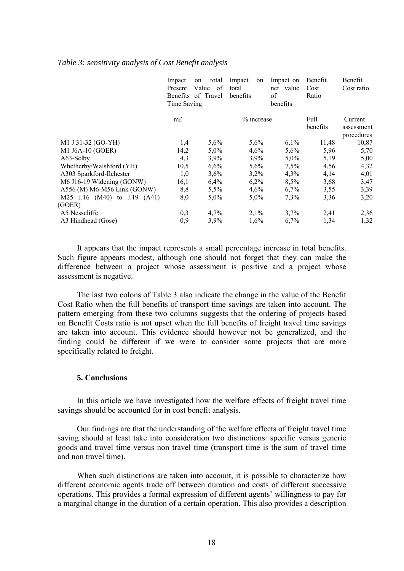## *Table 3: sensitivity analysis of Cost Benefit analysis*

|                              | Impact<br>Present<br>Time Saving | total<br>on<br>Value<br>of<br>Benefits of Travel | Impact<br>on<br>total<br>benefits | Impact on<br>net value<br>of<br>benefits | Benefit<br>Cost<br>Ratio | Benefit<br>Cost ratio               |
|------------------------------|----------------------------------|--------------------------------------------------|-----------------------------------|------------------------------------------|--------------------------|-------------------------------------|
|                              | m£                               |                                                  | % increase                        |                                          | Full<br>benefits         | Current<br>assessment<br>procedures |
| M1 J 31-32 (GO-YH)           | 1,4                              | 5,6%                                             | 5,6%                              | 6,1%                                     | 11,48                    | 10,87                               |
| M1 J6A-10 (GOER)             | 14,2                             | 5,0%                                             | 4,6%                              | 5,6%                                     | 5,96                     | 5,70                                |
| A63-Selby                    | 4,3                              | 3,9%                                             | 3,9%                              | $5,0\%$                                  | 5,19                     | 5,00                                |
| Whetherby/Walshford (YH)     | 10,5                             | 6,6%                                             | 5,6%                              | 7,5%                                     | 4,56                     | 4,32                                |
| A303 Sparkford-Ilchester     | 1,0                              | 3,6%                                             | 3,2%                              | 4,3%                                     | 4,14                     | 4,01                                |
| M6 J16-19 Widening (GONW)    | 16,1                             | 6,4%                                             | 6,2%                              | $8.5\%$                                  | 3,68                     | 3,47                                |
| A556 (M) M6-M56 Link (GONW)  | 8,8                              | 5,5%                                             | 4,6%                              | 6,7%                                     | 3,55                     | 3,39                                |
| M25 J.16 (M40) to J.19 (A41) | 8,0                              | $5,0\%$                                          | $5,0\%$                           | $7.3\%$                                  | 3,36                     | 3,20                                |
| (GOER)                       |                                  |                                                  |                                   |                                          |                          |                                     |
| A5 Nesscliffe                | 0,3                              | 4,7%                                             | 2,1%                              | 3,7%                                     | 2,41                     | 2,36                                |
| A3 Hindhead (Gose)           | 0,9                              | 3,9%                                             | 1,6%                              | $6.7\%$                                  | 1,34                     | 1,32                                |

It appears that the impact represents a small percentage increase in total benefits. Such figure appears modest, although one should not forget that they can make the difference between a project whose assessment is positive and a project whose assessment is negative.

The last two colons of Table 3 also indicate the change in the value of the Benefit Cost Ratio when the full benefits of transport time savings are taken into account. The pattern emerging from these two columns suggests that the ordering of projects based on Benefit Costs ratio is not upset when the full benefits of freight travel time savings are taken into account. This evidence should however not be generalized, and the finding could be different if we were to consider some projects that are more specifically related to freight.

# **5. Conclusions**

In this article we have investigated how the welfare effects of freight travel time savings should be accounted for in cost benefit analysis.

Our findings are that the understanding of the welfare effects of freight travel time saving should at least take into consideration two distinctions: specific versus generic goods and travel time versus non travel time (transport time is the sum of travel time and non travel time).

When such distinctions are taken into account, it is possible to characterize how different economic agents trade off between duration and costs of different successive operations. This provides a formal expression of different agents' willingness to pay for a marginal change in the duration of a certain operation. This also provides a description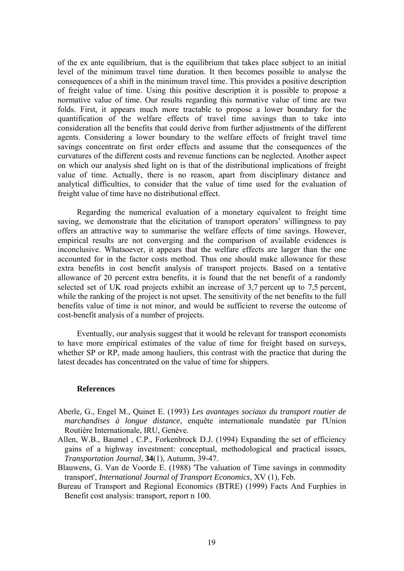of the ex ante equilibrium, that is the equilibrium that takes place subject to an initial level of the minimum travel time duration. It then becomes possible to analyse the consequences of a shift in the minimum travel time. This provides a positive description of freight value of time. Using this positive description it is possible to propose a normative value of time. Our results regarding this normative value of time are two folds. First, it appears much more tractable to propose a lower boundary for the quantification of the welfare effects of travel time savings than to take into consideration all the benefits that could derive from further adjustments of the different agents. Considering a lower boundary to the welfare effects of freight travel time savings concentrate on first order effects and assume that the consequences of the curvatures of the different costs and revenue functions can be neglected. Another aspect on which our analysis shed light on is that of the distributional implications of freight value of time. Actually, there is no reason, apart from disciplinary distance and analytical difficulties, to consider that the value of time used for the evaluation of freight value of time have no distributional effect.

Regarding the numerical evaluation of a monetary equivalent to freight time saving, we demonstrate that the elicitation of transport operators' willingness to pay offers an attractive way to summarise the welfare effects of time savings. However, empirical results are not converging and the comparison of available evidences is inconclusive. Whatsoever, it appears that the welfare effects are larger than the one accounted for in the factor costs method. Thus one should make allowance for these extra benefits in cost benefit analysis of transport projects. Based on a tentative allowance of 20 percent extra benefits, it is found that the net benefit of a randomly selected set of UK road projects exhibit an increase of 3,7 percent up to 7,5 percent, while the ranking of the project is not upset. The sensitivity of the net benefits to the full benefits value of time is not minor, and would be sufficient to reverse the outcome of cost-benefit analysis of a number of projects.

Eventually, our analysis suggest that it would be relevant for transport economists to have more empirical estimates of the value of time for freight based on surveys, whether SP or RP, made among hauliers, this contrast with the practice that during the latest decades has concentrated on the value of time for shippers.

# **References**

- Aberle, G., Engel M., Quinet E. (1993) *Les avantages sociaux du transport routier de marchandises à longue distance*, enquête internationale mandatée par l'Union Routière Internationale, IRU, Genève.
- Allen, W.B., Baumel , C.P., Forkenbrock D.J. (1994) Expanding the set of efficiency gains of a highway investment: conceptual, methodological and practical issues, *Transportation Journal*, **34**(1), Autumn, 39-47.
- Blauwens, G. Van de Voorde E. (1988) 'The valuation of Time savings in commodity transport', *International Journal of Transport Economics*, XV (1), Feb.
- Bureau of Transport and Regional Economics (BTRE) (1999) Facts And Furphies in Benefit cost analysis: transport, report n 100.